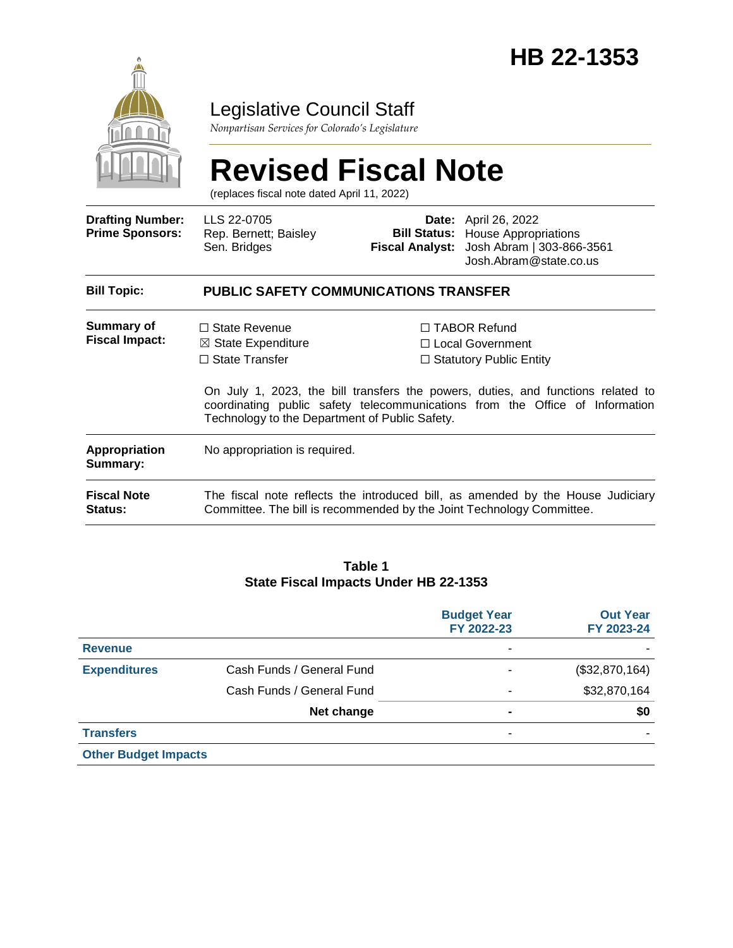

## Legislative Council Staff

*Nonpartisan Services for Colorado's Legislature*

# **Revised Fiscal Note**

(replaces fiscal note dated April 11, 2022)

| <b>Drafting Number:</b><br><b>Prime Sponsors:</b> | LLS 22-0705<br>Rep. Bernett; Baisley<br>Sen. Bridges                                                                                                     |  | <b>Date:</b> April 26, 2022<br><b>Bill Status:</b> House Appropriations<br>Fiscal Analyst: Josh Abram   303-866-3561<br>Josh.Abram@state.co.us                                                                                                  |  |  |
|---------------------------------------------------|----------------------------------------------------------------------------------------------------------------------------------------------------------|--|-------------------------------------------------------------------------------------------------------------------------------------------------------------------------------------------------------------------------------------------------|--|--|
| <b>Bill Topic:</b>                                | <b>PUBLIC SAFETY COMMUNICATIONS TRANSFER</b>                                                                                                             |  |                                                                                                                                                                                                                                                 |  |  |
| Summary of<br><b>Fiscal Impact:</b>               | $\Box$ State Revenue<br>$\boxtimes$ State Expenditure<br>$\Box$ State Transfer<br>Technology to the Department of Public Safety.                         |  | $\Box$ TABOR Refund<br>□ Local Government<br>$\Box$ Statutory Public Entity<br>On July 1, 2023, the bill transfers the powers, duties, and functions related to<br>coordinating public safety telecommunications from the Office of Information |  |  |
| <b>Appropriation</b><br>Summary:                  | No appropriation is required.                                                                                                                            |  |                                                                                                                                                                                                                                                 |  |  |
| <b>Fiscal Note</b><br><b>Status:</b>              | The fiscal note reflects the introduced bill, as amended by the House Judiciary<br>Committee. The bill is recommended by the Joint Technology Committee. |  |                                                                                                                                                                                                                                                 |  |  |

#### **Table 1 State Fiscal Impacts Under HB 22-1353**

|                             |                           | <b>Budget Year</b><br>FY 2022-23 | <b>Out Year</b><br>FY 2023-24 |
|-----------------------------|---------------------------|----------------------------------|-------------------------------|
| <b>Revenue</b>              |                           |                                  |                               |
| <b>Expenditures</b>         | Cash Funds / General Fund |                                  | (\$32,870,164)                |
|                             | Cash Funds / General Fund |                                  | \$32,870,164                  |
|                             | Net change                | ۰                                | \$0                           |
| <b>Transfers</b>            |                           |                                  |                               |
| <b>Other Budget Impacts</b> |                           |                                  |                               |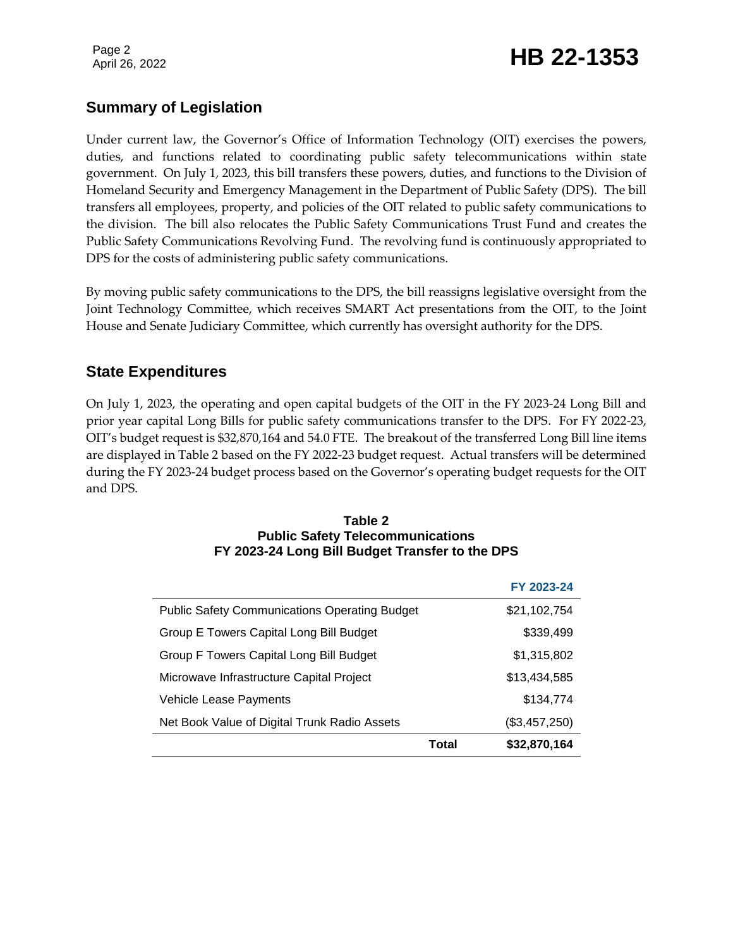# Page 2<br>April 26, 2022 **HB 22-1353**

## **Summary of Legislation**

Under current law, the Governor's Office of Information Technology (OIT) exercises the powers, duties, and functions related to coordinating public safety telecommunications within state government. On July 1, 2023, this bill transfers these powers, duties, and functions to the Division of Homeland Security and Emergency Management in the Department of Public Safety (DPS). The bill transfers all employees, property, and policies of the OIT related to public safety communications to the division. The bill also relocates the Public Safety Communications Trust Fund and creates the Public Safety Communications Revolving Fund. The revolving fund is continuously appropriated to DPS for the costs of administering public safety communications.

By moving public safety communications to the DPS, the bill reassigns legislative oversight from the Joint Technology Committee, which receives SMART Act presentations from the OIT, to the Joint House and Senate Judiciary Committee, which currently has oversight authority for the DPS.

### **State Expenditures**

On July 1, 2023, the operating and open capital budgets of the OIT in the FY 2023-24 Long Bill and prior year capital Long Bills for public safety communications transfer to the DPS. For FY 2022-23, OIT's budget request is \$32,870,164 and 54.0 FTE. The breakout of the transferred Long Bill line items are displayed in Table 2 based on the FY 2022-23 budget request. Actual transfers will be determined during the FY 2023-24 budget process based on the Governor's operating budget requests for the OIT and DPS.

#### **Table 2 Public Safety Telecommunications FY 2023-24 Long Bill Budget Transfer to the DPS**

|                                                      |       | FY 2023-24    |
|------------------------------------------------------|-------|---------------|
| <b>Public Safety Communications Operating Budget</b> |       | \$21,102,754  |
| Group E Towers Capital Long Bill Budget              |       | \$339,499     |
| Group F Towers Capital Long Bill Budget              |       | \$1,315,802   |
| Microwave Infrastructure Capital Project             |       | \$13,434,585  |
| Vehicle Lease Payments                               |       | \$134,774     |
| Net Book Value of Digital Trunk Radio Assets         |       | (\$3,457,250) |
|                                                      | Total | \$32,870,164  |